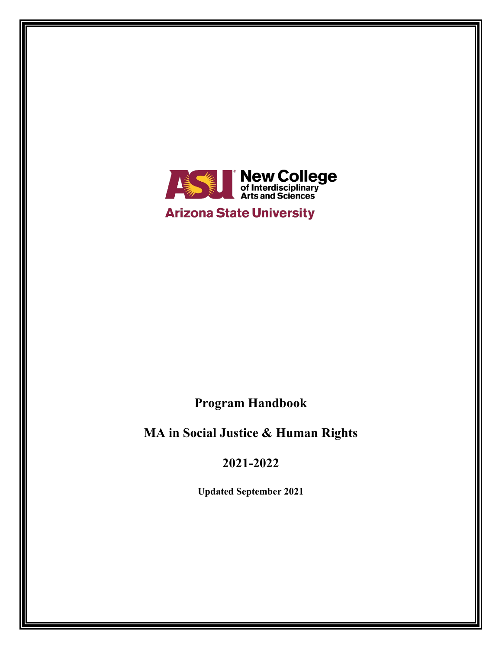

**Arizona State University** 

**Program Handbook**

**MA in Social Justice & Human Rights**

**2021-2022**

**Updated September 2021**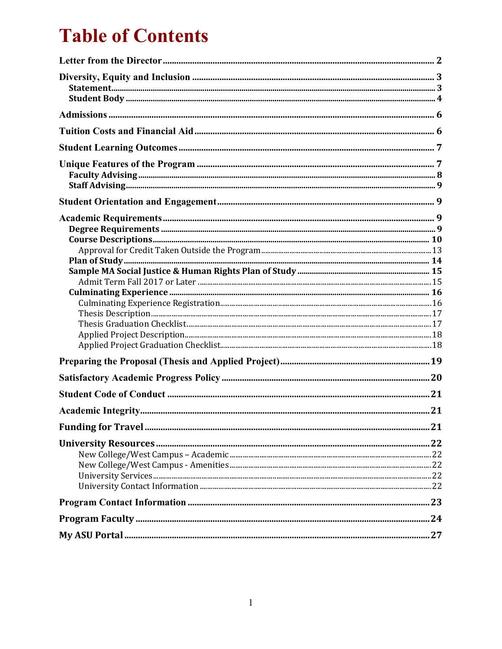# **Table of Contents**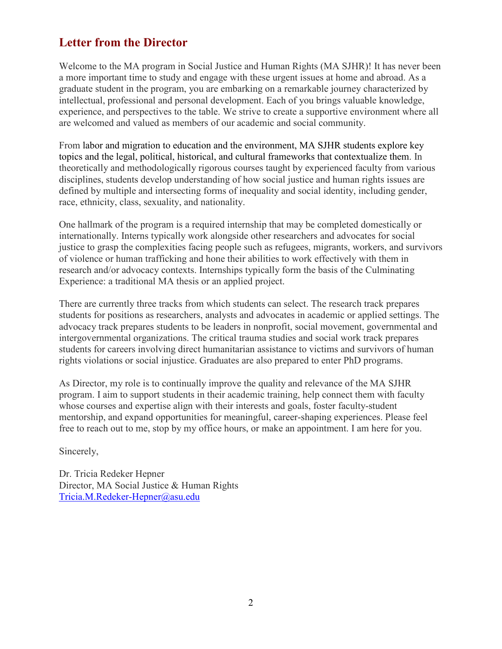# <span id="page-2-0"></span>**Letter from the Director**

Welcome to the MA program in Social Justice and Human Rights (MA SJHR)! It has never been a more important time to study and engage with these urgent issues at home and abroad. As a graduate student in the program, you are embarking on a remarkable journey characterized by intellectual, professional and personal development. Each of you brings valuable knowledge, experience, and perspectives to the table. We strive to create a supportive environment where all are welcomed and valued as members of our academic and social community.

From labor and migration to education and the environment, MA SJHR students explore key topics and the legal, political, historical, and cultural frameworks that contextualize them. In theoretically and methodologically rigorous courses taught by experienced faculty from various disciplines, students develop understanding of how social justice and human rights issues are defined by multiple and intersecting forms of inequality and social identity, including gender, race, ethnicity, class, sexuality, and nationality.

One hallmark of the program is a required internship that may be completed domestically or internationally. Interns typically work alongside other researchers and advocates for social justice to grasp the complexities facing people such as refugees, migrants, workers, and survivors of violence or human trafficking and hone their abilities to work effectively with them in research and/or advocacy contexts. Internships typically form the basis of the Culminating Experience: a traditional MA thesis or an applied project.

There are currently three tracks from which students can select. The research track prepares students for positions as researchers, analysts and advocates in academic or applied settings. The advocacy track prepares students to be leaders in nonprofit, social movement, governmental and intergovernmental organizations. The critical trauma studies and social work track prepares students for careers involving direct humanitarian assistance to victims and survivors of human rights violations or social injustice. Graduates are also prepared to enter PhD programs.

As Director, my role is to continually improve the quality and relevance of the MA SJHR program. I aim to support students in their academic training, help connect them with faculty whose courses and expertise align with their interests and goals, foster faculty-student mentorship, and expand opportunities for meaningful, career-shaping experiences. Please feel free to reach out to me, stop by my office hours, or make an appointment. I am here for you.

Sincerely,

Dr. Tricia Redeker Hepner Director, MA Social Justice & Human Rights [Tricia.M.Redeker-Hepner@asu.edu](mailto:Tricia.M.Redeker-Hepner@asu.edu)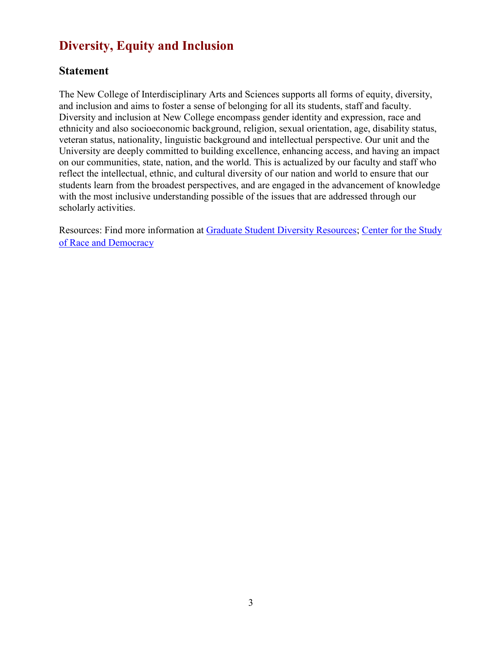# <span id="page-3-0"></span>**Diversity, Equity and Inclusion**

### <span id="page-3-1"></span>**Statement**

The New College of Interdisciplinary Arts and Sciences supports all forms of equity, diversity, and inclusion and aims to foster a sense of belonging for all its students, staff and faculty. Diversity and inclusion at New College encompass gender identity and expression, race and ethnicity and also socioeconomic background, religion, sexual orientation, age, disability status, veteran status, nationality, linguistic background and intellectual perspective. Our unit and the University are deeply committed to building excellence, enhancing access, and having an impact on our communities, state, nation, and the world. This is actualized by our faculty and staff who reflect the intellectual, ethnic, and cultural diversity of our nation and world to ensure that our students learn from the broadest perspectives, and are engaged in the advancement of knowledge with the most inclusive understanding possible of the issues that are addressed through our scholarly activities.

Resources: Find more information at [Graduate Student Diversity Resources;](https://graduate.asu.edu/current-students/enrich-your-experience/resources-and-services/diversity-resources) [Center for the Study](https://csrd.asu.edu/)  [of Race and Democracy](https://csrd.asu.edu/)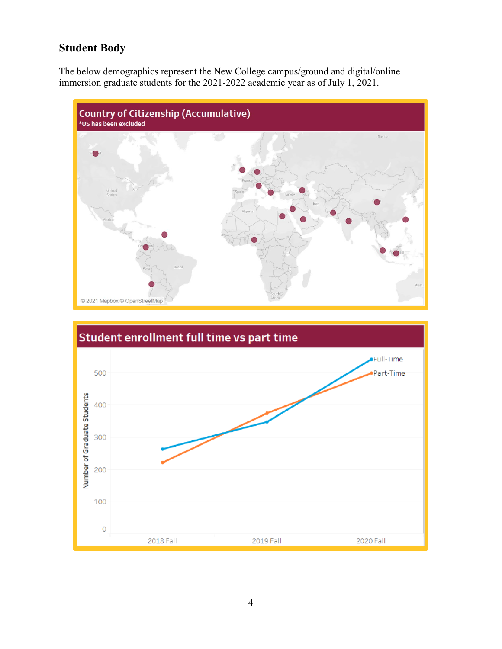# <span id="page-4-0"></span>**Student Body**

The below demographics represent the New College campus/ground and digital/online immersion graduate students for the 2021-2022 academic year as of July 1, 2021.



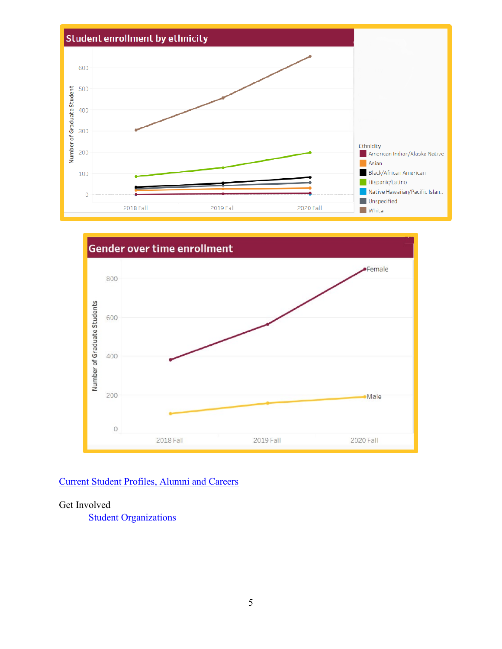



### [Current Student Profiles, Alumni and Careers](https://newcollege.asu.edu/advising/graduate/social-justice-and-human-rights-ma)

#### Get Involved

**[Student Organizations](https://eoss.asu.edu/clubs)**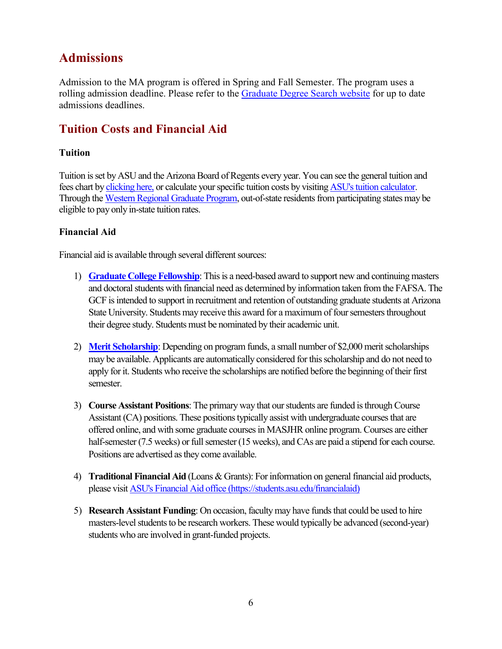# <span id="page-6-0"></span>**Admissions**

Admission to the MA program is offered in Spring and Fall Semester. The program uses a rolling admission deadline. Please refer to the [Graduate Degree Search website](https://webapp4.asu.edu/programs/t5/majorinfo/ASU00/ASJHRMA/graduate/false) for up to date admissions deadlines.

# <span id="page-6-1"></span>**Tuition Costs and Financial Aid**

#### **Tuition**

Tuition is set by ASU and the Arizona Board of Regents every year. You can see the general tuition and fees chart b[y clicking here,](https://catalog.asu.edu/tuitionandfees/fall19graduate) or calculate your specific tuition costs by visiting [ASU's tuition calculator.](https://students.asu.edu/tuition) Through the [Western Regional Graduate Program,](http://www.wiche.edu/wrgp) out-of-state residents from participating states may be eligible to pay only in-state tuition rates.

### **Financial Aid**

Financial aid is available through several different sources:

- 1) **[Graduate College Fellowship](https://graduate.asu.edu/current-students/funding-opportunities/awards-and-fellowships/graduate-college-fellowship)**: This is a need-based award to support new and continuing masters and doctoral students with financial need as determined by information taken from the FAFSA. The GCF is intended to support in recruitment and retention of outstanding graduate students at Arizona State University. Students may receive this award for a maximum of four semesters throughout their degree study. Students must be nominated by their academic unit.
- 2) **[Merit Scholarship](https://students.asu.edu/NAMU-commitment)**: Depending on program funds, a small number of \$2,000 merit scholarships may be available. Applicants are automatically considered for this scholarship and do not need to apply for it. Students who receive the scholarships are notified before the beginning of their first semester.
- 3) **Course Assistant Positions**: The primary way that our students are funded is through Course Assistant (CA) positions. These positions typically assist with undergraduate courses that are offered online, and with some graduate courses in MASJHR online program. Courses are either half-semester (7.5 weeks) or full semester (15 weeks), and CAs are paid a stipend for each course. Positions are advertised as they come available.
- 4) **Traditional Financial Aid** (Loans & Grants): For information on general financial aid products, please visit [ASU's Financial Aid office](https://students.asu.edu/financialaid) (https://students.asu.edu/financialaid)
- 5) **Research Assistant Funding**: On occasion, faculty may have funds that could be used to hire masters-level students to be research workers. These would typically be advanced (second-year) students who are involved in grant-funded projects.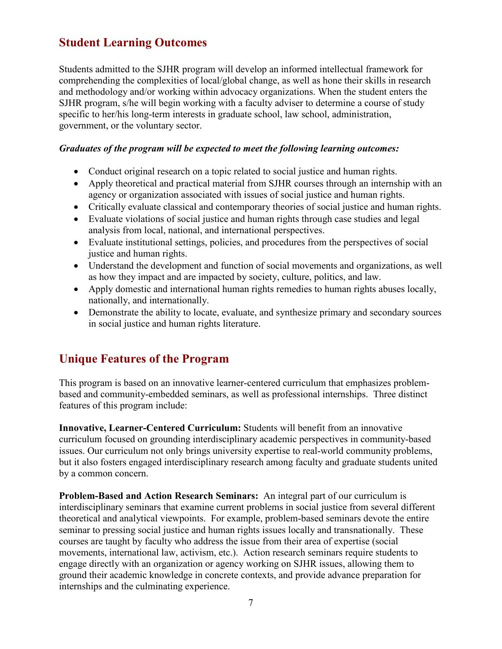## <span id="page-7-0"></span>**Student Learning Outcomes**

Students admitted to the SJHR program will develop an informed intellectual framework for comprehending the complexities of local/global change, as well as hone their skills in research and methodology and/or working within advocacy organizations. When the student enters the SJHR program, s/he will begin working with a faculty adviser to determine a course of study specific to her/his long-term interests in graduate school, law school, administration, government, or the voluntary sector.

#### *Graduates of the program will be expected to meet the following learning outcomes:*

- Conduct original research on a topic related to social justice and human rights.
- Apply theoretical and practical material from SJHR courses through an internship with an agency or organization associated with issues of social justice and human rights.
- Critically evaluate classical and contemporary theories of social justice and human rights.
- Evaluate violations of social justice and human rights through case studies and legal analysis from local, national, and international perspectives.
- Evaluate institutional settings, policies, and procedures from the perspectives of social justice and human rights.
- Understand the development and function of social movements and organizations, as well as how they impact and are impacted by society, culture, politics, and law.
- Apply domestic and international human rights remedies to human rights abuses locally, nationally, and internationally.
- Demonstrate the ability to locate, evaluate, and synthesize primary and secondary sources in social justice and human rights literature.

## <span id="page-7-1"></span>**Unique Features of the Program**

This program is based on an innovative learner-centered curriculum that emphasizes problembased and community-embedded seminars, as well as professional internships. Three distinct features of this program include:

**Innovative, Learner-Centered Curriculum:** Students will benefit from an innovative curriculum focused on grounding interdisciplinary academic perspectives in community-based issues. Our curriculum not only brings university expertise to real-world community problems, but it also fosters engaged interdisciplinary research among faculty and graduate students united by a common concern.

**Problem-Based and Action Research Seminars:** An integral part of our curriculum is interdisciplinary seminars that examine current problems in social justice from several different theoretical and analytical viewpoints. For example, problem-based seminars devote the entire seminar to pressing social justice and human rights issues locally and transnationally. These courses are taught by faculty who address the issue from their area of expertise (social movements, international law, activism, etc.). Action research seminars require students to engage directly with an organization or agency working on SJHR issues, allowing them to ground their academic knowledge in concrete contexts, and provide advance preparation for internships and the culminating experience.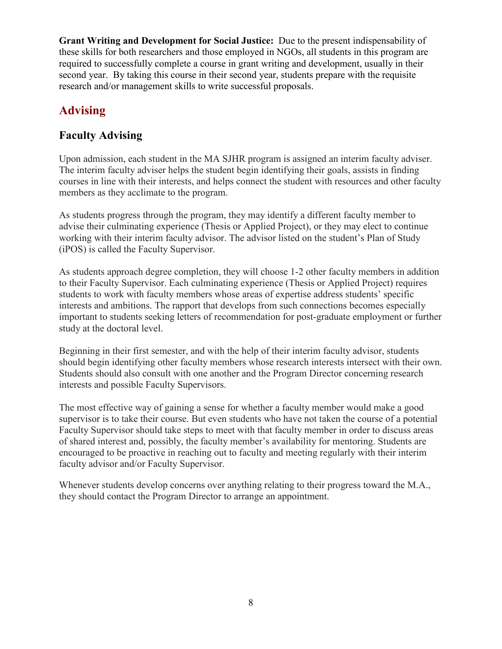**Grant Writing and Development for Social Justice:** Due to the present indispensability of these skills for both researchers and those employed in NGOs, all students in this program are required to successfully complete a course in grant writing and development, usually in their second year. By taking this course in their second year, students prepare with the requisite research and/or management skills to write successful proposals.

# **Advising**

## <span id="page-8-0"></span>**Faculty Advising**

Upon admission, each student in the MA SJHR program is assigned an interim faculty adviser. The interim faculty adviser helps the student begin identifying their goals, assists in finding courses in line with their interests, and helps connect the student with resources and other faculty members as they acclimate to the program.

As students progress through the program, they may identify a different faculty member to advise their culminating experience (Thesis or Applied Project), or they may elect to continue working with their interim faculty advisor. The advisor listed on the student's Plan of Study (iPOS) is called the Faculty Supervisor.

As students approach degree completion, they will choose 1-2 other faculty members in addition to their Faculty Supervisor. Each culminating experience (Thesis or Applied Project) requires students to work with faculty members whose areas of expertise address students' specific interests and ambitions. The rapport that develops from such connections becomes especially important to students seeking letters of recommendation for post-graduate employment or further study at the doctoral level.

Beginning in their first semester, and with the help of their interim faculty advisor, students should begin identifying other faculty members whose research interests intersect with their own. Students should also consult with one another and the Program Director concerning research interests and possible Faculty Supervisors.

The most effective way of gaining a sense for whether a faculty member would make a good supervisor is to take their course. But even students who have not taken the course of a potential Faculty Supervisor should take steps to meet with that faculty member in order to discuss areas of shared interest and, possibly, the faculty member's availability for mentoring. Students are encouraged to be proactive in reaching out to faculty and meeting regularly with their interim faculty advisor and/or Faculty Supervisor.

Whenever students develop concerns over anything relating to their progress toward the M.A., they should contact the Program Director to arrange an appointment.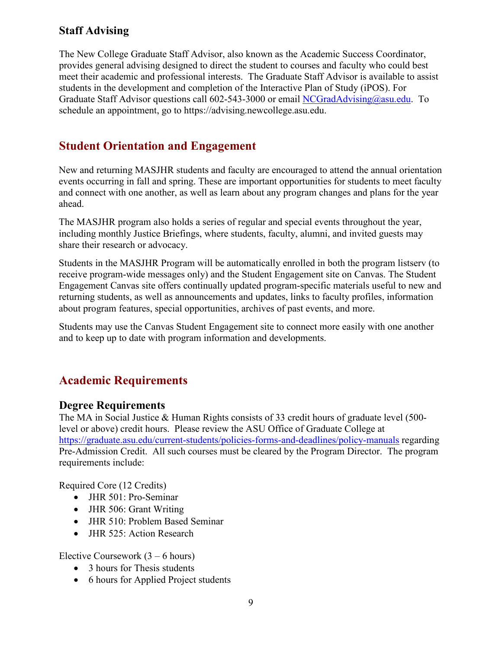### <span id="page-9-0"></span>**Staff Advising**

The New College Graduate Staff Advisor, also known as the Academic Success Coordinator, provides general advising designed to direct the student to courses and faculty who could best meet their academic and professional interests. The Graduate Staff Advisor is available to assist students in the development and completion of the Interactive Plan of Study (iPOS). For Graduate Staff Advisor questions call 602-543-3000 or email [NCGradAdvising@asu.edu.](mailto:NCGradAdvising@asu.edu) To schedule an appointment, go to https://advising.newcollege.asu.edu.

### <span id="page-9-1"></span>**Student Orientation and Engagement**

New and returning MASJHR students and faculty are encouraged to attend the annual orientation events occurring in fall and spring. These are important opportunities for students to meet faculty and connect with one another, as well as learn about any program changes and plans for the year ahead.

The MASJHR program also holds a series of regular and special events throughout the year, including monthly Justice Briefings, where students, faculty, alumni, and invited guests may share their research or advocacy.

Students in the MASJHR Program will be automatically enrolled in both the program listserv (to receive program-wide messages only) and the Student Engagement site on Canvas. The Student Engagement Canvas site offers continually updated program-specific materials useful to new and returning students, as well as announcements and updates, links to faculty profiles, information about program features, special opportunities, archives of past events, and more.

Students may use the Canvas Student Engagement site to connect more easily with one another and to keep up to date with program information and developments.

## <span id="page-9-2"></span>**Academic Requirements**

### <span id="page-9-3"></span>**Degree Requirements**

The MA in Social Justice & Human Rights consists of 33 credit hours of graduate level (500 level or above) credit hours. Please review the ASU Office of Graduate College at <https://graduate.asu.edu/current-students/policies-forms-and-deadlines/policy-manuals> regarding Pre-Admission Credit. All such courses must be cleared by the Program Director. The program requirements include:

Required Core (12 Credits)

- JHR 501: Pro-Seminar
- JHR 506: Grant Writing
- JHR 510: Problem Based Seminar
- JHR 525: Action Research

Elective Coursework  $(3 – 6$  hours)

- 3 hours for Thesis students
- 6 hours for Applied Project students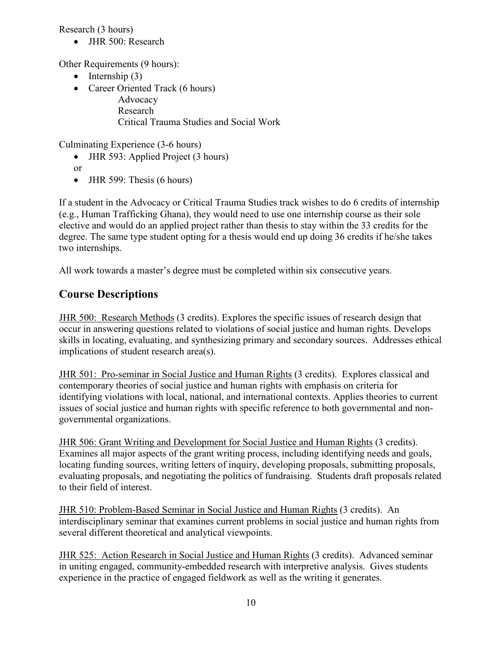Research (3 hours)

• JHR 500: Research

Other Requirements (9 hours):

- Internship  $(3)$
- Career Oriented Track (6 hours) Advocacy Research Critical Trauma Studies and Social Work

Culminating Experience (3-6 hours)

- JHR 593: Applied Project (3 hours)
- or
- JHR 599: Thesis (6 hours)

If a student in the Advocacy or Critical Trauma Studies track wishes to do 6 credits of internship (e.g., Human Trafficking Ghana), they would need to use one internship course as their sole elective and would do an applied project rather than thesis to stay within the 33 credits for the degree. The same type student opting for a thesis would end up doing 36 credits if he/she takes two internships.

All work towards a master's degree must be completed within six consecutive years.

### <span id="page-10-0"></span>**Course Descriptions**

JHR 500: Research Methods (3 credits). Explores the specific issues of research design that occur in answering questions related to violations of social justice and human rights. Develops skills in locating, evaluating, and synthesizing primary and secondary sources. Addresses ethical implications of student research area(s).

JHR 501: Pro-seminar in Social Justice and Human Rights (3 credits). Explores classical and contemporary theories of social justice and human rights with emphasis on criteria for identifying violations with local, national, and international contexts. Applies theories to current issues of social justice and human rights with specific reference to both governmental and nongovernmental organizations.

JHR 506: Grant Writing and Development for Social Justice and Human Rights (3 credits). Examines all major aspects of the grant writing process, including identifying needs and goals, locating funding sources, writing letters of inquiry, developing proposals, submitting proposals, evaluating proposals, and negotiating the politics of fundraising. Students draft proposals related to their field of interest.

JHR 510: Problem-Based Seminar in Social Justice and Human Rights (3 credits). An interdisciplinary seminar that examines current problems in social justice and human rights from several different theoretical and analytical viewpoints.

JHR 525: Action Research in Social Justice and Human Rights (3 credits). Advanced seminar in uniting engaged, community-embedded research with interpretive analysis. Gives students experience in the practice of engaged fieldwork as well as the writing it generates.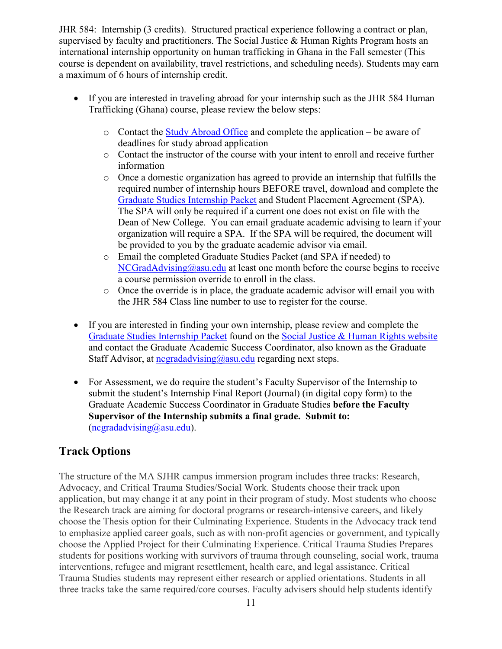JHR 584: Internship (3 credits). Structured practical experience following a contract or plan, supervised by faculty and practitioners. The Social Justice & Human Rights Program hosts an international internship opportunity on human trafficking in Ghana in the Fall semester (This course is dependent on availability, travel restrictions, and scheduling needs). Students may earn a maximum of 6 hours of internship credit.

- If you are interested in traveling abroad for your internship such as the JHR 584 Human Trafficking (Ghana) course, please review the below steps:
	- $\circ$  Contact the [Study Abroad Office](https://goglobal.asu.edu/) and complete the application be aware of deadlines for study abroad application
	- o Contact the instructor of the course with your intent to enroll and receive further information
	- $\circ$  Once a domestic organization has agreed to provide an internship that fulfills the required number of internship hours BEFORE travel, download and complete the [Graduate Studies Internship Packet](https://newcollege.asu.edu/sites/default/files/files/advising/documents/allprograminternshippacket_28v_2_6_5_201428_28229.pdf) and Student Placement Agreement (SPA). The SPA will only be required if a current one does not exist on file with the Dean of New College. You can email graduate academic advising to learn if your organization will require a SPA. If the SPA will be required, the document will be provided to you by the graduate academic advisor via email.
	- o Email the completed Graduate Studies Packet (and SPA if needed) to  $NCGradAdvising@asu.edu$  at least one month before the course begins to receive a course permission override to enroll in the class.
	- o Once the override is in place, the graduate academic advisor will email you with the JHR 584 Class line number to use to register for the course.
- If you are interested in finding your own internship, please review and complete the [Graduate Studies Internship Packet](https://newcollege.asu.edu/sites/default/files/files/advising/documents/allprograminternshippacket_28v_2_6_5_201428_28229.pdf) found on the [Social Justice & Human Rights website](https://newcollege.asu.edu/advising/graduate/social-justice-and-human-rights-ma) and contact the Graduate Academic Success Coordinator, also known as the Graduate Staff Advisor, at negradadvising@asu.edu regarding next steps.
- For Assessment, we do require the student's Faculty Supervisor of the Internship to submit the student's Internship Final Report (Journal) (in digital copy form) to the Graduate Academic Success Coordinator in Graduate Studies **before the Faculty Supervisor of the Internship submits a final grade. Submit to:**   $(negradadvising@a su.edu).$

## **Track Options**

The structure of the MA SJHR campus immersion program includes three tracks: Research, Advocacy, and Critical Trauma Studies/Social Work. Students choose their track upon application, but may change it at any point in their program of study. Most students who choose the Research track are aiming for doctoral programs or research-intensive careers, and likely choose the Thesis option for their Culminating Experience. Students in the Advocacy track tend to emphasize applied career goals, such as with non-profit agencies or government, and typically choose the Applied Project for their Culminating Experience. Critical Trauma Studies Prepares students for positions working with survivors of trauma through counseling, social work, trauma interventions, refugee and migrant resettlement, health care, and legal assistance. Critical Trauma Studies students may represent either research or applied orientations. Students in all three tracks take the same required/core courses. Faculty advisers should help students identify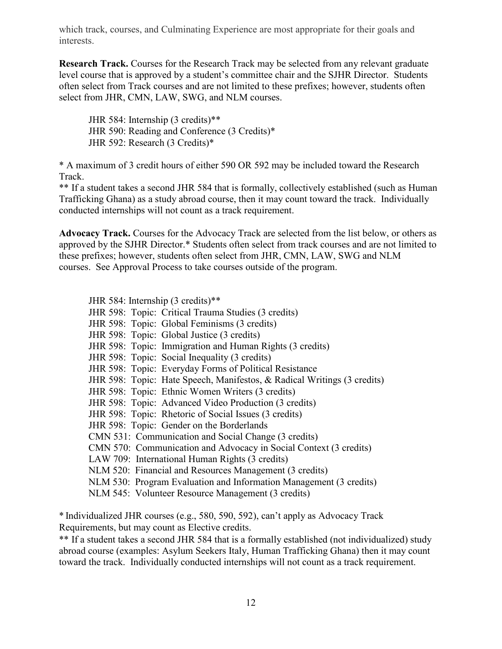which track, courses, and Culminating Experience are most appropriate for their goals and interests.

**Research Track.** Courses for the Research Track may be selected from any relevant graduate level course that is approved by a student's committee chair and the SJHR Director. Students often select from Track courses and are not limited to these prefixes; however, students often select from JHR, CMN, LAW, SWG, and NLM courses.

JHR 584: Internship (3 credits)\*\* JHR 590: Reading and Conference (3 Credits)\* JHR 592: Research (3 Credits)\*

\* A maximum of 3 credit hours of either 590 OR 592 may be included toward the Research Track.

\*\* If a student takes a second JHR 584 that is formally, collectively established (such as Human Trafficking Ghana) as a study abroad course, then it may count toward the track. Individually conducted internships will not count as a track requirement.

**Advocacy Track.** Courses for the Advocacy Track are selected from the list below, or others as approved by the SJHR Director.\* Students often select from track courses and are not limited to these prefixes; however, students often select from JHR, CMN, LAW, SWG and NLM courses. See Approval Process to take courses outside of the program.

JHR 584: Internship (3 credits)\*\*

- JHR 598: Topic: Critical Trauma Studies (3 credits)
- JHR 598: Topic: Global Feminisms (3 credits)
- JHR 598: Topic: Global Justice (3 credits)
- JHR 598: Topic: Immigration and Human Rights (3 credits)
- JHR 598: Topic: Social Inequality (3 credits)
- JHR 598: Topic: Everyday Forms of Political Resistance
- JHR 598: Topic: Hate Speech, Manifestos, & Radical Writings (3 credits)
- JHR 598: Topic: Ethnic Women Writers (3 credits)
- JHR 598: Topic: Advanced Video Production (3 credits)
- JHR 598: Topic: Rhetoric of Social Issues (3 credits)
- JHR 598: Topic: Gender on the Borderlands
- CMN 531: Communication and Social Change (3 credits)
- CMN 570: Communication and Advocacy in Social Context (3 credits)
- LAW 709: International Human Rights (3 credits)
- NLM 520: Financial and Resources Management (3 credits)
- NLM 530: Program Evaluation and Information Management (3 credits)
- NLM 545: Volunteer Resource Management (3 credits)

\* Individualized JHR courses (e.g., 580, 590, 592), can't apply as Advocacy Track Requirements, but may count as Elective credits.

\*\* If a student takes a second JHR 584 that is a formally established (not individualized) study abroad course (examples: Asylum Seekers Italy, Human Trafficking Ghana) then it may count toward the track. Individually conducted internships will not count as a track requirement.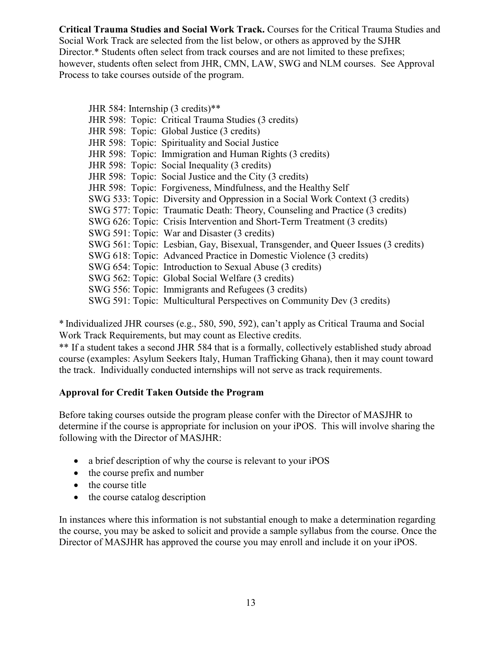**Critical Trauma Studies and Social Work Track.** Courses for the Critical Trauma Studies and Social Work Track are selected from the list below, or others as approved by the SJHR Director.\* Students often select from track courses and are not limited to these prefixes; however, students often select from JHR, CMN, LAW, SWG and NLM courses. See Approval Process to take courses outside of the program.

| JHR 584: Internship (3 credits)**                                                 |
|-----------------------------------------------------------------------------------|
| JHR 598: Topic: Critical Trauma Studies (3 credits)                               |
| JHR 598: Topic: Global Justice (3 credits)                                        |
| JHR 598: Topic: Spirituality and Social Justice                                   |
| JHR 598: Topic: Immigration and Human Rights (3 credits)                          |
| JHR 598: Topic: Social Inequality (3 credits)                                     |
| JHR 598: Topic: Social Justice and the City (3 credits)                           |
| JHR 598: Topic: Forgiveness, Mindfulness, and the Healthy Self                    |
| SWG 533: Topic: Diversity and Oppression in a Social Work Context (3 credits)     |
| SWG 577: Topic: Traumatic Death: Theory, Counseling and Practice (3 credits)      |
| SWG 626: Topic: Crisis Intervention and Short-Term Treatment (3 credits)          |
| SWG 591: Topic: War and Disaster (3 credits)                                      |
| SWG 561: Topic: Lesbian, Gay, Bisexual, Transgender, and Queer Issues (3 credits) |
| SWG 618: Topic: Advanced Practice in Domestic Violence (3 credits)                |
| SWG 654: Topic: Introduction to Sexual Abuse (3 credits)                          |
| SWG 562: Topic: Global Social Welfare (3 credits)                                 |
| SWG 556: Topic: Immigrants and Refugees (3 credits)                               |
| SWG 591: Topic: Multicultural Perspectives on Community Dev (3 credits)           |

\* Individualized JHR courses (e.g., 580, 590, 592), can't apply as Critical Trauma and Social Work Track Requirements, but may count as Elective credits.

\*\* If a student takes a second JHR 584 that is a formally, collectively established study abroad course (examples: Asylum Seekers Italy, Human Trafficking Ghana), then it may count toward the track. Individually conducted internships will not serve as track requirements.

### <span id="page-13-0"></span>**Approval for Credit Taken Outside the Program**

Before taking courses outside the program please confer with the Director of MASJHR to determine if the course is appropriate for inclusion on your iPOS. This will involve sharing the following with the Director of MASJHR:

- a brief description of why the course is relevant to your iPOS
- the course prefix and number
- the course title
- the course catalog description

In instances where this information is not substantial enough to make a determination regarding the course, you may be asked to solicit and provide a sample syllabus from the course. Once the Director of MASJHR has approved the course you may enroll and include it on your iPOS.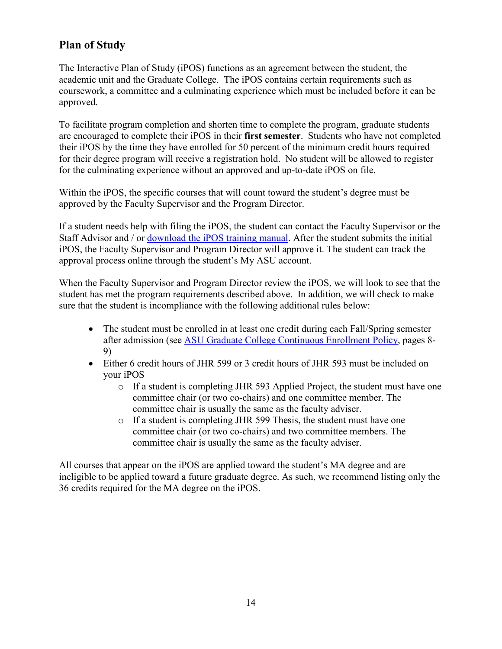### <span id="page-14-0"></span>**Plan of Study**

The Interactive Plan of Study (iPOS) functions as an agreement between the student, the academic unit and the Graduate College. The iPOS contains certain requirements such as coursework, a committee and a culminating experience which must be included before it can be approved.

To facilitate program completion and shorten time to complete the program, graduate students are encouraged to complete their iPOS in their **first semester**. Students who have not completed their iPOS by the time they have enrolled for 50 percent of the minimum credit hours required for their degree program will receive a registration hold. No student will be allowed to register for the culminating experience without an approved and up-to-date iPOS on file.

Within the iPOS, the specific courses that will count toward the student's degree must be approved by the Faculty Supervisor and the Program Director.

If a student needs help with filing the iPOS, the student can contact the Faculty Supervisor or the Staff Advisor and / or [download the iPOS training manual.](https://graduate.asu.edu/current-students/completing-your-degree/how-guides) After the student submits the initial iPOS, the Faculty Supervisor and Program Director will approve it. The student can track the approval process online through the student's My ASU account.

When the Faculty Supervisor and Program Director review the iPOS, we will look to see that the student has met the program requirements described above. In addition, we will check to make sure that the student is incompliance with the following additional rules below:

- The student must be enrolled in at least one credit during each Fall/Spring semester after admission (see ASU Graduate College [Continuous Enrollment Policy,](https://graduate.asu.edu/sites/default/files/asu-graduate-policies-and-procedures_032019_0.pdf) pages 8- 9)
- Either 6 credit hours of JHR 599 or 3 credit hours of JHR 593 must be included on your iPOS
	- o If a student is completing JHR 593 Applied Project, the student must have one committee chair (or two co-chairs) and one committee member. The committee chair is usually the same as the faculty adviser.
	- o If a student is completing JHR 599 Thesis, the student must have one committee chair (or two co-chairs) and two committee members. The committee chair is usually the same as the faculty adviser.

All courses that appear on the iPOS are applied toward the student's MA degree and are ineligible to be applied toward a future graduate degree. As such, we recommend listing only the 36 credits required for the MA degree on the iPOS.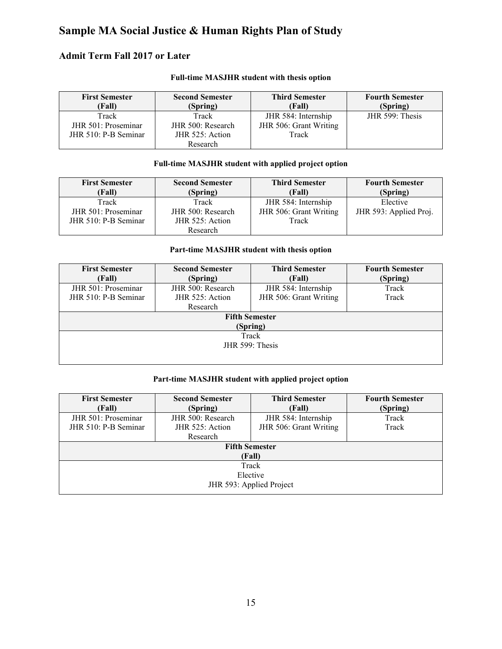# <span id="page-15-0"></span>**Sample MA Social Justice & Human Rights Plan of Study**

### <span id="page-15-1"></span>**Admit Term Fall 2017 or Later**

| <b>First Semester</b><br>(Fall) | <b>Second Semester</b><br>(Spring) | <b>Third Semester</b><br>(Fall) | <b>Fourth Semester</b><br>(Spring) |
|---------------------------------|------------------------------------|---------------------------------|------------------------------------|
| Track                           | Track                              | JHR 584: Internship             | JHR 599: Thesis                    |
| JHR 501: Proseminar             | JHR 500: Research                  | JHR 506: Grant Writing          |                                    |
| JHR 510: P-B Seminar            | JHR 525: Action                    | Track                           |                                    |
|                                 | Research                           |                                 |                                    |

#### **Full-time MASJHR student with thesis option**

#### **Full-time MASJHR student with applied project option**

| <b>First Semester</b><br>(Fall) | <b>Second Semester</b><br>(Spring) | <b>Third Semester</b><br>(Fall) | <b>Fourth Semester</b><br>(Spring) |
|---------------------------------|------------------------------------|---------------------------------|------------------------------------|
| Track                           | Track                              | JHR 584: Internship             | Elective                           |
| JHR 501: Proseminar             | JHR 500: Research                  | JHR 506: Grant Writing          | JHR 593: Applied Proj.             |
| JHR 510: P-B Seminar            | JHR 525: Action                    | Track                           |                                    |
|                                 | Research                           |                                 |                                    |

#### **Part-time MASJHR student with thesis option**

| <b>First Semester</b> | <b>Second Semester</b> | <b>Third Semester</b>  | <b>Fourth Semester</b> |
|-----------------------|------------------------|------------------------|------------------------|
| (Fall)                | (Spring)               | (Fall)                 | (Spring)               |
| JHR 501: Proseminar   | JHR 500: Research      | JHR 584: Internship    | Track                  |
| JHR 510: P-B Seminar  | JHR 525: Action        | JHR 506: Grant Writing | Track                  |
|                       | Research               |                        |                        |
| <b>Fifth Semester</b> |                        |                        |                        |
| (Spring)              |                        |                        |                        |
| Track                 |                        |                        |                        |
| JHR 599: Thesis       |                        |                        |                        |
|                       |                        |                        |                        |
|                       |                        |                        |                        |

#### **Part-time MASJHR student with applied project option**

| <b>First Semester</b>    | <b>Second Semester</b> | <b>Third Semester</b>  | <b>Fourth Semester</b> |
|--------------------------|------------------------|------------------------|------------------------|
| (Fall)                   | (Spring)               | (Fall)                 | (Spring)               |
| JHR 501: Proseminar      | JHR 500: Research      | JHR 584: Internship    | Track                  |
| JHR 510: P-B Seminar     | JHR 525: Action        | JHR 506: Grant Writing | Track                  |
|                          | Research               |                        |                        |
| <b>Fifth Semester</b>    |                        |                        |                        |
| (Fall)                   |                        |                        |                        |
| Track                    |                        |                        |                        |
| Elective                 |                        |                        |                        |
| JHR 593: Applied Project |                        |                        |                        |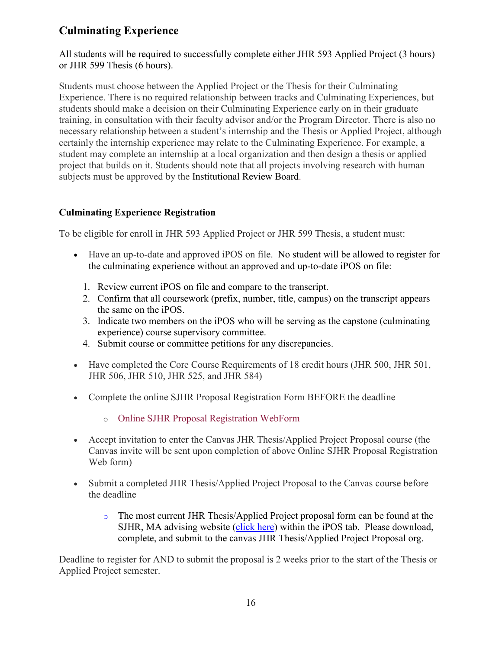## <span id="page-16-0"></span>**Culminating Experience**

All students will be required to successfully complete either JHR 593 Applied Project (3 hours) or JHR 599 Thesis (6 hours).

Students must choose between the Applied Project or the Thesis for their Culminating Experience. There is no required relationship between tracks and Culminating Experiences, but students should make a decision on their Culminating Experience early on in their graduate training, in consultation with their faculty advisor and/or the Program Director. There is also no necessary relationship between a student's internship and the Thesis or Applied Project, although certainly the internship experience may relate to the Culminating Experience. For example, a student may complete an internship at a local organization and then design a thesis or applied project that builds on it. Students should note that all projects involving research with human subjects must be approved by the Institutional Review Board.

### <span id="page-16-1"></span>**Culminating Experience Registration**

To be eligible for enroll in JHR 593 Applied Project or JHR 599 Thesis, a student must:

- Have an up-to-date and approved iPOS on file. No student will be allowed to register for the culminating experience without an approved and up-to-date iPOS on file:
	- 1. Review current iPOS on file and compare to the transcript.
	- 2. Confirm that all coursework (prefix, number, title, campus) on the transcript appears the same on the iPOS.
	- 3. Indicate two members on the iPOS who will be serving as the capstone (culminating experience) course supervisory committee.
	- 4. Submit course or committee petitions for any discrepancies.
- Have completed the Core Course Requirements of 18 credit hours (JHR 500, JHR 501, JHR 506, JHR 510, JHR 525, and JHR 584)
- Complete the online SJHR Proposal Registration Form BEFORE the deadline
	- o [Online SJHR Proposal Registration WebForm](https://newcollege.asu.edu/advising/sjhr-proposal-registration)
- Accept invitation to enter the Canvas JHR Thesis/Applied Project Proposal course (the Canvas invite will be sent upon completion of above Online SJHR Proposal Registration Web form)
- Submit a completed JHR Thesis/Applied Project Proposal to the Canvas course before the deadline
	- o The most current JHR Thesis/Applied Project proposal form can be found at the SJHR, MA advising website [\(click here\)](https://newcollege.asu.edu/advising/graduate/social-justice-and-human-rights-ma) within the iPOS tab. Please download, complete, and submit to the canvas JHR Thesis/Applied Project Proposal org[.](https://newcollege.asu.edu/sites/default/files/advising/documents/sjhr_thesis-ap_proposal_form_revised11.1.19.docx)

Deadline to register for AND to submit the proposal is 2 weeks prior to the start of the Thesis or Applied Project semester.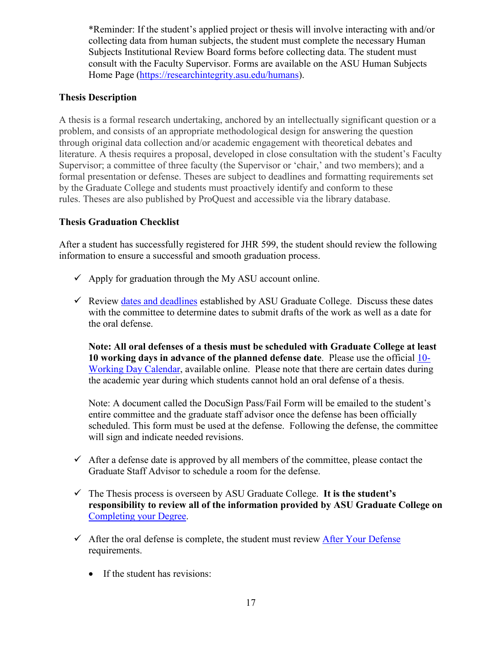\*Reminder: If the student's applied project or thesis will involve interacting with and/or collecting data from human subjects, the student must complete the necessary Human Subjects Institutional Review Board forms before collecting data. The student must consult with the Faculty Supervisor. Forms are available on the ASU Human Subjects Home Page [\(https://researchintegrity.asu.edu/humans\)](https://researchintegrity.asu.edu/humans).

### <span id="page-17-0"></span>**Thesis Description**

A thesis is a formal research undertaking, anchored by an intellectually significant question or a problem, and consists of an appropriate methodological design for answering the question through original data collection and/or academic engagement with theoretical debates and literature. A thesis requires a proposal, developed in close consultation with the student's Faculty Supervisor; a committee of three faculty (the Supervisor or 'chair,' and two members); and a formal presentation or defense. Theses are subject to deadlines and formatting requirements set by the Graduate College and students must proactively identify and conform to these rules. Theses are also published by ProQuest and accessible via the library database.

### <span id="page-17-1"></span>**Thesis Graduation Checklist**

After a student has successfully registered for JHR 599, the student should review the following information to ensure a successful and smooth graduation process.

- $\checkmark$  Apply for graduation through the My ASU account online.
- $\checkmark$  Review [dates and deadlines](https://graduate.asu.edu/current-students/policies-forms-and-deadlines/graduation-deadlines) established by ASU Graduate College. Discuss these dates with the committee to determine dates to submit drafts of the work as well as a date for the oral defense.

**Note: All oral defenses of a thesis must be scheduled with Graduate College at least 10 working days in advance of the planned defense date**. Please use the official [10-](https://graduate.asu.edu/current-students/policies-forms-and-deadlines/graduation-deadlines) [Working Day Calendar,](https://graduate.asu.edu/current-students/policies-forms-and-deadlines/graduation-deadlines) available online. Please note that there are certain dates during the academic year during which students cannot hold an oral defense of a thesis.

Note: A document called the DocuSign Pass/Fail Form will be emailed to the student's entire committee and the graduate staff advisor once the defense has been officially scheduled. This form must be used at the defense. Following the defense, the committee will sign and indicate needed revisions.

- $\checkmark$  After a defense date is approved by all members of the committee, please contact the Graduate Staff Advisor to schedule a room for the defense.
- The Thesis process is overseen by ASU Graduate College. **It is the student's responsibility to review all of the information provided by ASU Graduate College on**  [Completing your Degree.](https://graduate.asu.edu/current-students/completing-your-degree/)
- $\checkmark$  After the oral defense is complete, the student must review [After Your Defense](https://graduate.asu.edu/current-students/completing-your-degree/about-your-defense) requirements.
	- If the student has revisions: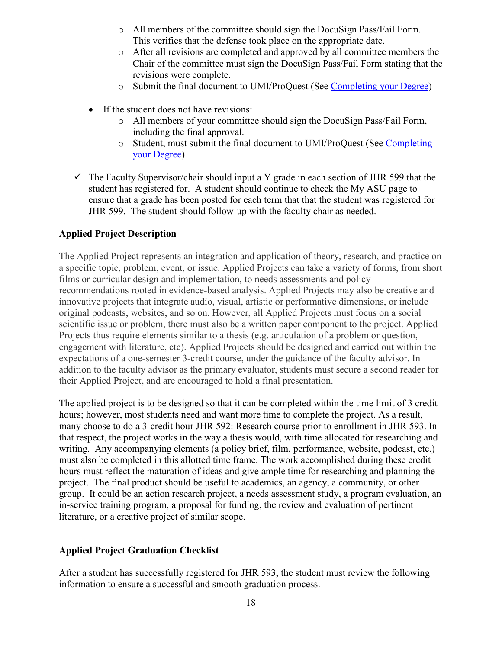- o All members of the committee should sign the DocuSign Pass/Fail Form. This verifies that the defense took place on the appropriate date.
- o After all revisions are completed and approved by all committee members the Chair of the committee must sign the DocuSign Pass/Fail Form stating that the revisions were complete.
- o Submit the final document to UMI/ProQuest (See [Completing your Degree\)](https://graduate.asu.edu/current-students/completing-your-degree/formatting-your-thesis-or-dissertation)
- If the student does not have revisions:
	- o All members of your committee should sign the DocuSign Pass/Fail Form, including the final approval.
	- o Student, must submit the final document to UMI/ProQuest (See [Completing](https://graduate.asu.edu/current-students/completing-your-degree/formatting-your-thesis-or-dissertation)  [your Degree\)](https://graduate.asu.edu/current-students/completing-your-degree/formatting-your-thesis-or-dissertation)
- $\checkmark$  The Faculty Supervisor/chair should input a Y grade in each section of JHR 599 that the student has registered for. A student should continue to check the My ASU page to ensure that a grade has been posted for each term that that the student was registered for JHR 599. The student should follow-up with the faculty chair as needed.

#### <span id="page-18-0"></span>**Applied Project Description**

The Applied Project represents an integration and application of theory, research, and practice on a specific topic, problem, event, or issue. Applied Projects can take a variety of forms, from short films or curricular design and implementation, to needs assessments and policy recommendations rooted in evidence-based analysis. Applied Projects may also be creative and innovative projects that integrate audio, visual, artistic or performative dimensions, or include original podcasts, websites, and so on. However, all Applied Projects must focus on a social scientific issue or problem, there must also be a written paper component to the project. Applied Projects thus require elements similar to a thesis (e.g. articulation of a problem or question, engagement with literature, etc). Applied Projects should be designed and carried out within the expectations of a one-semester 3-credit course, under the guidance of the faculty advisor. In addition to the faculty advisor as the primary evaluator, students must secure a second reader for their Applied Project, and are encouraged to hold a final presentation.

The applied project is to be designed so that it can be completed within the time limit of 3 credit hours; however, most students need and want more time to complete the project. As a result, many choose to do a 3-credit hour JHR 592: Research course prior to enrollment in JHR 593. In that respect, the project works in the way a thesis would, with time allocated for researching and writing. Any accompanying elements (a policy brief, film, performance, website, podcast, etc.) must also be completed in this allotted time frame. The work accomplished during these credit hours must reflect the maturation of ideas and give ample time for researching and planning the project. The final product should be useful to academics, an agency, a community, or other group. It could be an action research project, a needs assessment study, a program evaluation, an in-service training program, a proposal for funding, the review and evaluation of pertinent literature, or a creative project of similar scope.

### <span id="page-18-1"></span>**Applied Project Graduation Checklist**

After a student has successfully registered for JHR 593, the student must review the following information to ensure a successful and smooth graduation process.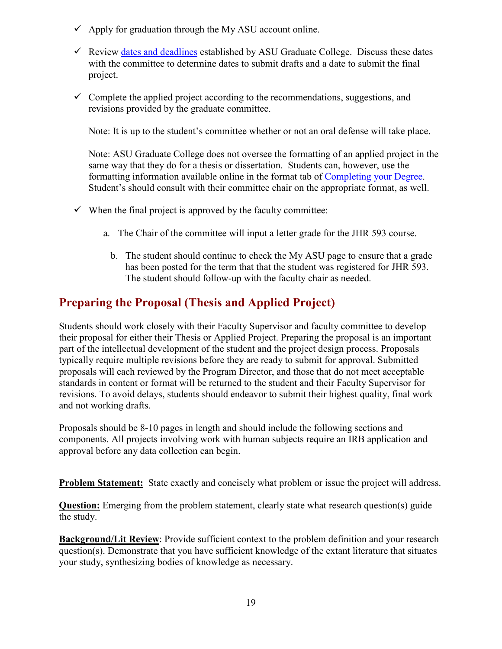- $\checkmark$  Apply for graduation through the My ASU account online.
- $\checkmark$  Review [dates and deadlines](https://graduate.asu.edu/current-students/policies-forms-and-deadlines/graduation-deadlines) established by ASU Graduate College. Discuss these dates with the committee to determine dates to submit drafts and a date to submit the final project.
- $\checkmark$  Complete the applied project according to the recommendations, suggestions, and revisions provided by the graduate committee.

Note: It is up to the student's committee whether or not an oral defense will take place.

Note: ASU Graduate College does not oversee the formatting of an applied project in the same way that they do for a thesis or dissertation. Students can, however, use the formatting information available online in the format tab of [Completing your Degree.](https://graduate.asu.edu/current-students/completing-your-degree/) Student's should consult with their committee chair on the appropriate format, as well.

- $\checkmark$  When the final project is approved by the faculty committee:
	- a. The Chair of the committee will input a letter grade for the JHR 593 course.
		- b. The student should continue to check the My ASU page to ensure that a grade has been posted for the term that that the student was registered for JHR 593. The student should follow-up with the faculty chair as needed.

### <span id="page-19-0"></span>**Preparing the Proposal (Thesis and Applied Project)**

Students should work closely with their Faculty Supervisor and faculty committee to develop their proposal for either their Thesis or Applied Project. Preparing the proposal is an important part of the intellectual development of the student and the project design process. Proposals typically require multiple revisions before they are ready to submit for approval. Submitted proposals will each reviewed by the Program Director, and those that do not meet acceptable standards in content or format will be returned to the student and their Faculty Supervisor for revisions. To avoid delays, students should endeavor to submit their highest quality, final work and not working drafts.

Proposals should be 8-10 pages in length and should include the following sections and components. All projects involving work with human subjects require an IRB application and approval before any data collection can begin.

**Problem Statement:** State exactly and concisely what problem or issue the project will address.

**Question:** Emerging from the problem statement, clearly state what research question(s) guide the study.

**Background/Lit Review:** Provide sufficient context to the problem definition and your research question(s). Demonstrate that you have sufficient knowledge of the extant literature that situates your study, synthesizing bodies of knowledge as necessary.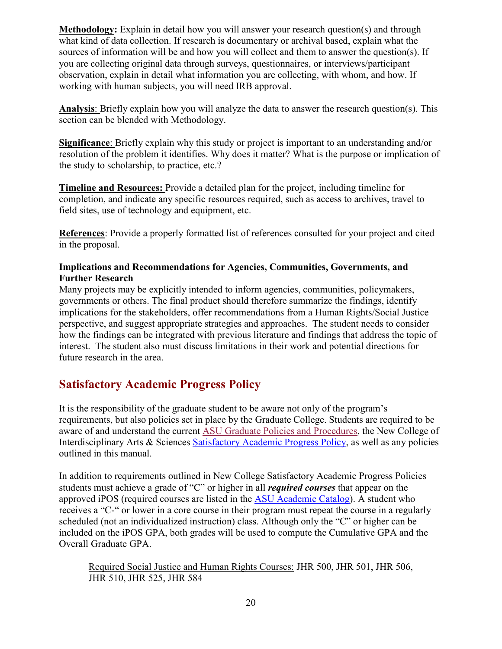**Methodology:** Explain in detail how you will answer your research question(s) and through what kind of data collection. If research is documentary or archival based, explain what the sources of information will be and how you will collect and them to answer the question(s). If you are collecting original data through surveys, questionnaires, or interviews/participant observation, explain in detail what information you are collecting, with whom, and how. If working with human subjects, you will need IRB approval.

**Analysis**: Briefly explain how you will analyze the data to answer the research question(s). This section can be blended with Methodology.

**Significance**: Briefly explain why this study or project is important to an understanding and/or resolution of the problem it identifies. Why does it matter? What is the purpose or implication of the study to scholarship, to practice, etc.?

**Timeline and Resources:** Provide a detailed plan for the project, including timeline for completion, and indicate any specific resources required, such as access to archives, travel to field sites, use of technology and equipment, etc.

**References**: Provide a properly formatted list of references consulted for your project and cited in the proposal.

#### **Implications and Recommendations for Agencies, Communities, Governments, and Further Research**

Many projects may be explicitly intended to inform agencies, communities, policymakers, governments or others. The final product should therefore summarize the findings, identify implications for the stakeholders, offer recommendations from a Human Rights/Social Justice perspective, and suggest appropriate strategies and approaches. The student needs to consider how the findings can be integrated with previous literature and findings that address the topic of interest. The student also must discuss limitations in their work and potential directions for future research in the area.

## <span id="page-20-0"></span>**Satisfactory Academic Progress Policy**

It is the responsibility of the graduate student to be aware not only of the program's requirements, but also policies set in place by the Graduate College. Students are required to be aware of and understand the current [ASU Graduate Policies and Procedures,](https://graduate.asu.edu/current-students/policies-forms-and-deadlines/policy-manuals) the New College of Interdisciplinary Arts & Sciences [Satisfactory Academic Progress Policy,](https://newcollege.asu.edu/sites/default/files/advising/documents/nc-satisfactoryacademicprogresspolicy_fall_2019_0.pdf) as well as any policies outlined in this manual.

In addition to requirements outlined in New College Satisfactory Academic Progress Policies students must achieve a grade of "C" or higher in all *required courses* that appear on the approved iPOS (required courses are listed in the [ASU Academic Catalog\)](https://webapp4.asu.edu/programs/t5/graduate/false). A student who receives a "C-" or lower in a core course in their program must repeat the course in a regularly scheduled (not an individualized instruction) class. Although only the "C" or higher can be included on the iPOS GPA, both grades will be used to compute the Cumulative GPA and the Overall Graduate GPA.

Required Social Justice and Human Rights Courses: JHR 500, JHR 501, JHR 506, JHR 510, JHR 525, JHR 584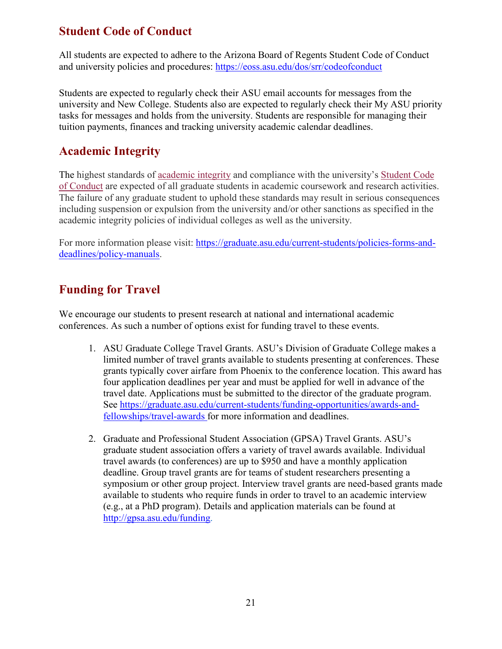# <span id="page-21-0"></span>**Student Code of Conduct**

All students are expected to adhere to the Arizona Board of Regents Student Code of Conduct and university policies and procedures:<https://eoss.asu.edu/dos/srr/codeofconduct>

Students are expected to regularly check their ASU email accounts for messages from the university and New College. Students also are expected to regularly check their My ASU priority tasks for messages and holds from the university. Students are responsible for managing their tuition payments, finances and tracking university academic calendar deadlines.

### <span id="page-21-1"></span>**Academic Integrity**

The highest standards of [academic integrity](http://provost.asu.edu/academicintegrity) and compliance with the university's [Student Code](http://students.asu.edu/srr/code)  [of Conduct](http://students.asu.edu/srr/code) are expected of all graduate students in academic coursework and research activities. The failure of any graduate student to uphold these standards may result in serious consequences including suspension or expulsion from the university and/or other sanctions as specified in the academic integrity policies of individual colleges as well as the university.

For more information please visit: [https://graduate.asu.edu/current-students/policies-forms-and](https://graduate.asu.edu/current-students/policies-forms-and-deadlines/policy-manuals)[deadlines/policy-manuals.](https://graduate.asu.edu/current-students/policies-forms-and-deadlines/policy-manuals)

# <span id="page-21-2"></span>**Funding for Travel**

We encourage our students to present research at national and international academic conferences. As such a number of options exist for funding travel to these events.

- 1. ASU Graduate College Travel Grants. ASU's Division of Graduate College makes a limited number of travel grants available to students presenting at conferences. These grants typically cover airfare from Phoenix to the conference location. This award has four application deadlines per year and must be applied for well in advance of the travel date. Applications must be submitted to the director of the graduate program. See [https://graduate.asu.edu/current-students/funding-opportunities/awards-and](https://graduate.asu.edu/current-students/funding-opportunities/awards-and-fellowships/travel-awards)[fellowships/travel-awards](https://graduate.asu.edu/current-students/funding-opportunities/awards-and-fellowships/travel-awards) for more information and deadlines.
- 2. Graduate and Professional Student Association (GPSA) Travel Grants. ASU's graduate student association offers a variety of travel awards available. Individual travel awards (to conferences) are up to \$950 and have a monthly application deadline. Group travel grants are for teams of student researchers presenting a symposium or other group project. Interview travel grants are need‐based grants made available to students who require funds in order to travel to an academic interview (e.g., at a PhD program). Details and application materials can be found at [http://gpsa.asu.edu/funding.](http://gpsa.asu.edu/funding)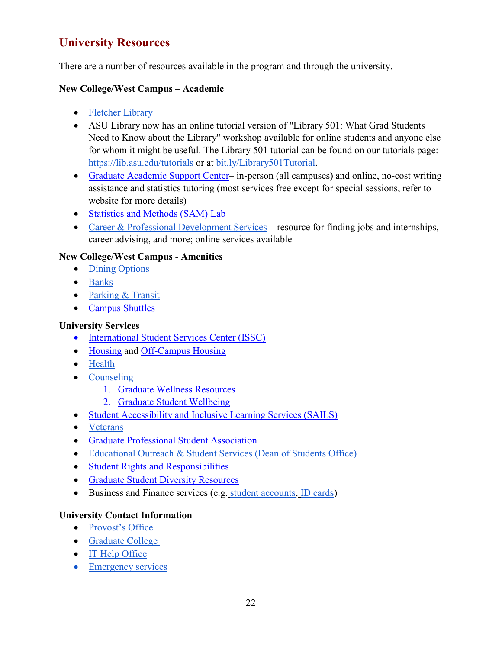# <span id="page-22-0"></span>**University Resources**

There are a number of resources available in the program and through the university.

#### <span id="page-22-1"></span>**New College/West Campus – Academic**

- [Fletcher Library](https://lib.asu.edu/fletcher)
- ASU Library now has an online tutorial version of "Library 501: What Grad Students Need to Know about the Library" workshop available for online students and anyone else for whom it might be useful. The Library 501 tutorial can be found on our tutorials page: <https://lib.asu.edu/tutorials> or at [bit.ly/Library501Tutorial.](http://bit.ly/Library501Tutorial)
- [Graduate Academic Support Center–](https://tutoring.asu.edu/student-services/graduate) in-person (all campuses) and online, no-cost writing assistance and statistics tutoring (most services free except for special sessions, refer to website for more details)
- [Statistics and Methods \(SAM\) Lab](http://samlabasu.com/)
- [Career & Professional Development Services](https://eoss.asu.edu/cs) resource for finding jobs and internships, career advising, and more; online services available

### <span id="page-22-2"></span>**New College/West Campus - Amenities**

- [Dining Options](https://sundevildining.asu.edu/hours-locations/west)
- [Banks](https://asu.midfirst.com/inside/campus-banking-centers)
- [Parking & Transit](https://cfo.asu.edu/pts-parking-west)
- [Campus Shuttles](https://cfo.asu.edu/campus-shuttles)

### <span id="page-22-3"></span>**University Services**

- [International Student Services Center \(ISSC\)](https://issc.asu.edu/)
- [Housing](https://housing.asu.edu/) and [Off-Campus Housing](https://offcampushousing.asu.edu/)
- [Health](https://eoss.asu.edu/health)
- [Counseling](https://eoss.asu.edu/counseling)
	- 1. [Graduate Wellness Resources](https://wellness.asu.edu/)
	- 2. [Graduate Student Wellbeing](https://graduate.asu.edu/blog/best-practices/10-best-practices-graduate-student-wellbeing)
- [Student Accessibility and Inclusive Learning Services \(SAILS\)](https://eoss.asu.edu/accessibility)
- [Veterans](https://veterans.asu.edu/)
- [Graduate Professional Student Association](https://gpsa.asu.edu/)
- [Educational Outreach & Student Services \(Dean of Students Office\)](https://eoss.asu.edu/dos)
- [Student Rights and Responsibilities](https://eoss.asu.edu/dos/srr)
- [Graduate Student Diversity Resources](https://graduate.asu.edu/current-students/enrich-your-experience/resources-and-services/diversity-resources)
- Business and Finance services (e.g. [student accounts,](https://students.asu.edu/tuitionandbillingcontact) [ID cards\)](https://cfo.asu.edu/cardservices)

### <span id="page-22-4"></span>**University Contact Information**

- [Provost's Office](https://provost.asu.edu/)
- [Graduate College](https://graduate.asu.edu/)
- [IT Help Office](https://uto.asu.edu/)
- [Emergency services](https://cfo.asu.edu/emergency)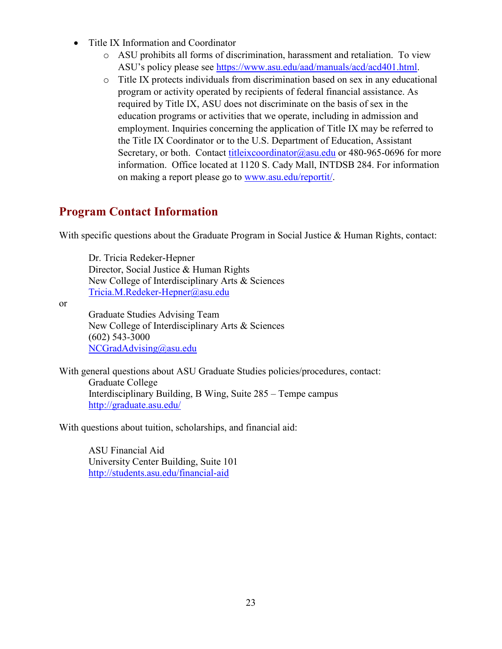- Title IX Information and Coordinator
	- o ASU prohibits all forms of discrimination, harassment and retaliation. To view ASU's policy please see [https://www.asu.edu/aad/manuals/acd/acd401.html.](https://www.asu.edu/aad/manuals/acd/acd401.html)
	- o Title IX protects individuals from discrimination based on sex in any educational program or activity operated by recipients of federal financial assistance. As required by Title IX, ASU does not discriminate on the basis of sex in the education programs or activities that we operate, including in admission and employment. Inquiries concerning the application of Title IX may be referred to the Title IX Coordinator or to the U.S. Department of Education, Assistant Secretary, or both. Contact [titleixcoordinator@asu.edu](mailto:titleixcoordinator@asu.edu) or 480-965-0696 for more information. Office located at 1120 S. Cady Mall, INTDSB 284. For information on making a report please go to [www.asu.edu/reportit/.](http://www.asu.edu/reportit/)

## <span id="page-23-0"></span>**Program Contact Information**

With specific questions about the Graduate Program in Social Justice & Human Rights, contact:

Dr. Tricia Redeker-Hepner Director, Social Justice & Human Rights New College of Interdisciplinary Arts & Sciences Tricia.M.Redeker-Hepner@asu.edu

or

Graduate Studies Advising Team New College of Interdisciplinary Arts & Sciences (602) 543-3000 [NCGradAdvising@asu.edu](mailto:Janis.Lacey@asu.edu)

With general questions about ASU Graduate Studies policies/procedures, contact: Graduate College Interdisciplinary Building, B Wing, Suite 285 – Tempe campus <http://graduate.asu.edu/>

With questions about tuition, scholarships, and financial aid:

ASU Financial Aid University Center Building, Suite 101 <http://students.asu.edu/financial-aid>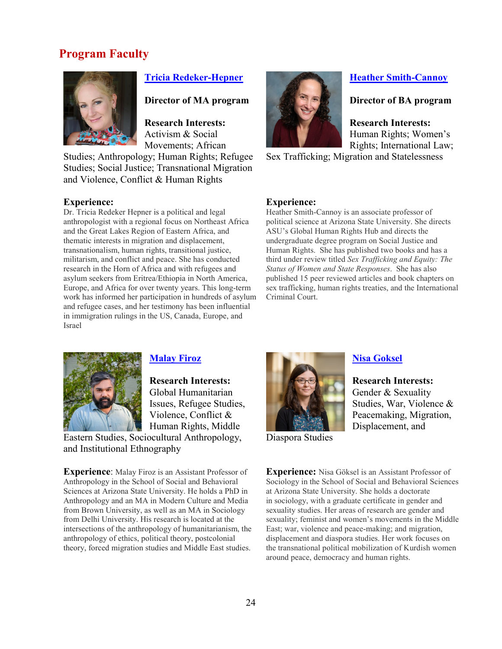### <span id="page-24-0"></span>**Program Faculty**



#### **[Tricia Redeker-Hepner](https://isearch.asu.edu/profile/3698639)**

**Director of MA program**

**Research Interests:** Activism & Social Movements; African

Studies; Anthropology; Human Rights; Refugee Studies; Social Justice; Transnational Migration and Violence, Conflict & Human Rights

#### **Experience:**

Dr. Tricia Redeker Hepner is a political and legal anthropologist with a regional focus on Northeast Africa and the Great Lakes Region of Eastern Africa, and thematic interests in migration and displacement, transnationalism, human rights, transitional justice, militarism, and conflict and peace. She has conducted research in the Horn of Africa and with refugees and asylum seekers from Eritrea/Ethiopia in North America, Europe, and Africa for over twenty years. This long-term work has informed her participation in hundreds of asylum and refugee cases, and her testimony has been influential in immigration rulings in the US, Canada, Europe, and Israel



#### **[Heather Smith-Cannoy](https://newcollege.asu.edu/heather-smith-cannoy)**

#### **Director of BA program**

**Research Interests:**  Human Rights; Women's Rights; International Law;

Sex Trafficking; Migration and Statelessness

#### **Experience:**

Heather Smith-Cannoy is an associate professor of political science at Arizona State University. She directs ASU's Global Human Rights Hub and directs the undergraduate degree program on Social Justice and Human Rights. She has published two books and has a third under review titled *Sex Trafficking and Equity: The Status of Women and State Responses*. She has also published 15 peer reviewed articles and book chapters on sex trafficking, human rights treaties, and the International Criminal Court.



#### **[Malay Firoz](https://isearch.asu.edu/profile/3698203)**

**Research Interests:** Global Humanitarian Issues, Refugee Studies, Violence, Conflict & Human Rights, Middle Eastern Studies, Sociocultural Anthropology,

and Institutional Ethnography

**Experience:** Malay Firoz is an Assistant Professor of Anthropology in the School of Social and Behavioral Sciences at Arizona State University. He holds a PhD in Anthropology and an MA in Modern Culture and Media from Brown University, as well as an MA in Sociology from Delhi University. His research is located at the intersections of the anthropology of humanitarianism, the anthropology of ethics, political theory, postcolonial theory, forced migration studies and Middle East studies.



#### **Nisa [Goksel](https://newcollege.asu.edu/nisa-goksel)**

#### **Research Interests:**

Gender & Sexuality Studies, War, Violence & Peacemaking, Migration, Displacement, and

Diaspora Studies

**Experience:** Nisa Göksel is an Assistant Professor of Sociology in the School of Social and Behavioral Sciences at Arizona State University. She holds a doctorate in sociology, with a graduate certificate in gender and sexuality studies. Her areas of research are gender and sexuality; feminist and women's movements in the Middle East; war, violence and peace-making; and migration, displacement and diaspora studies. Her work focuses on the transnational political mobilization of Kurdish women around peace, democracy and human rights.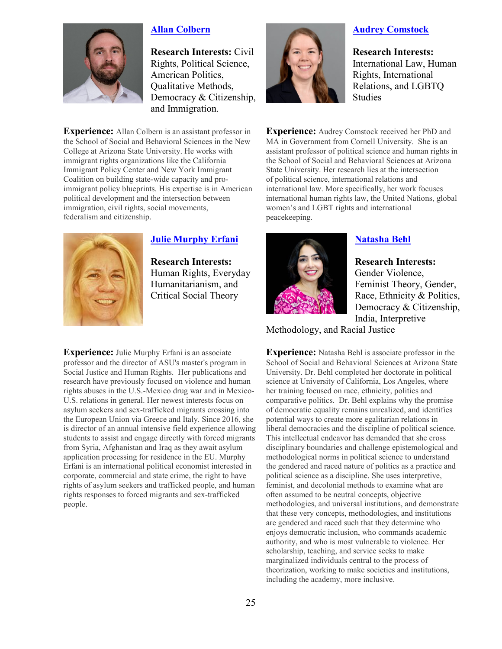

#### **[Allan Colbern](https://newcollege.asu.edu/allan-colbern)**

**Research Interests:** Civil Rights, Political Science, American Politics, Qualitative Methods, Democracy & Citizenship, and Immigration.

**Experience:** Allan Colbern is an assistant professor in the School of Social and Behavioral Sciences in the New College at Arizona State University. He works with immigrant rights organizations like the California Immigrant Policy Center and New York Immigrant Coalition on building state-wide capacity and proimmigrant policy blueprints. His expertise is in American political development and the intersection between immigration, civil rights, social movements, federalism and citizenship.



### **[Audrey Comstock](https://newcollege.asu.edu/audrey-comstock)**

**Research Interests:** International Law, Human Rights, International Relations, and LGBTQ Studies

**Experience:** Audrey Comstock received her PhD and MA in Government from Cornell University. She is an assistant professor of political science and human rights in the School of Social and Behavioral Sciences at Arizona State University. Her research lies at the intersection of political science, international relations and international law. More specifically, her work focuses international human rights law, the United Nations, global women's and LGBT rights and international peacekeeping.



#### **[Julie Murphy Erfani](https://newcollege.asu.edu/julie-murphy-erfani)**

**Research Interests:** Human Rights, Everyday Humanitarianism, and Critical Social Theory

**Experience:** Julie Murphy Erfani is an associate professor and the director of ASU's master's program in Social Justice and Human Rights. Her publications and research have previously focused on violence and human rights abuses in the U.S.-Mexico drug war and in Mexico-U.S. relations in general. Her newest interests focus on asylum seekers and sex-trafficked migrants crossing into the European Union via Greece and Italy. Since 2016, she is director of an annual intensive field experience allowing students to assist and engage directly with forced migrants from Syria, Afghanistan and Iraq as they await asylum application processing for residence in the EU. Murphy Erfani is an international political economist interested in corporate, commercial and state crime, the right to have rights of asylum seekers and trafficked people, and human rights responses to forced migrants and sex-trafficked people.



#### **[Natasha Behl](https://newcollege.asu.edu/natasha-behl)**

**Research Interests:** Gender Violence, Feminist Theory, Gender, Race, Ethnicity & Politics, Democracy & Citizenship, India, Interpretive

Methodology, and Racial Justice

**Experience:** Natasha Behl is associate professor in the School of Social and Behavioral Sciences at Arizona State University. Dr. Behl completed her doctorate in political science at University of California, Los Angeles, where her training focused on race, ethnicity, politics and comparative politics. Dr. Behl explains why the promise of democratic equality remains unrealized, and identifies potential ways to create more egalitarian relations in liberal democracies and the discipline of political science. This intellectual endeavor has demanded that she cross disciplinary boundaries and challenge epistemological and methodological norms in political science to understand the gendered and raced nature of politics as a practice and political science as a discipline. She uses interpretive, feminist, and decolonial methods to examine what are often assumed to be neutral concepts, objective methodologies, and universal institutions, and demonstrate that these very concepts, methodologies, and institutions are gendered and raced such that they determine who enjoys democratic inclusion, who commands academic authority, and who is most vulnerable to violence. Her scholarship, teaching, and service seeks to make marginalized individuals central to the process of theorization, working to make societies and institutions, including the academy, more inclusive.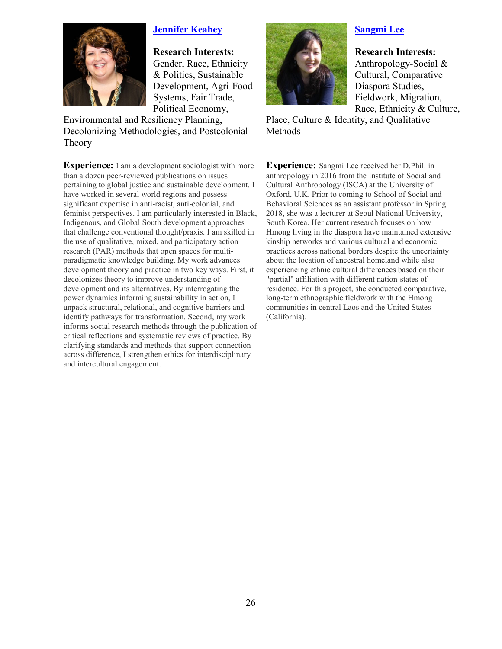

### **[Jennifer Keahey](https://newcollege.asu.edu/jennifer-keahey)**

**Research Interests:** Gender, Race, Ethnicity & Politics, Sustainable Development, Agri-Food Systems, Fair Trade, Political Economy,

Environmental and Resiliency Planning, Decolonizing Methodologies, and Postcolonial Theory

**Experience:** I am a development sociologist with more than a dozen peer-reviewed publications on issues pertaining to global justice and sustainable development. I have worked in several world regions and possess significant expertise in anti-racist, anti-colonial, and feminist perspectives. I am particularly interested in Black, Indigenous, and Global South development approaches that challenge conventional thought/praxis. I am skilled in the use of qualitative, mixed, and participatory action research (PAR) methods that open spaces for multiparadigmatic knowledge building. My work advances development theory and practice in two key ways. First, it decolonizes theory to improve understanding of development and its alternatives. By interrogating the power dynamics informing sustainability in action, I unpack structural, relational, and cognitive barriers and identify pathways for transformation. Second, my work informs social research methods through the publication of critical reflections and systematic reviews of practice. By clarifying standards and methods that support connection across difference, I strengthen ethics for interdisciplinary and intercultural engagement.



### **[Sangmi Lee](https://isearch.asu.edu/profile/1019432)**

**Research Interests:**

Anthropology-Social & Cultural, Comparative Diaspora Studies, Fieldwork, Migration, Race, Ethnicity & Culture,

Place, Culture & Identity, and Qualitative Methods

**Experience:** Sangmi Lee received her D.Phil. in anthropology in 2016 from the Institute of Social and Cultural Anthropology (ISCA) at the University of Oxford, U.K. Prior to coming to School of Social and Behavioral Sciences as an assistant professor in Spring 2018, she was a lecturer at Seoul National University, South Korea. Her current research focuses on how Hmong living in the diaspora have maintained extensive kinship networks and various cultural and economic practices across national borders despite the uncertainty about the location of ancestral homeland while also experiencing ethnic cultural differences based on their "partial" affiliation with different nation-states of residence. For this project, she conducted comparative, long-term ethnographic fieldwork with the Hmong communities in central Laos and the United States (California).